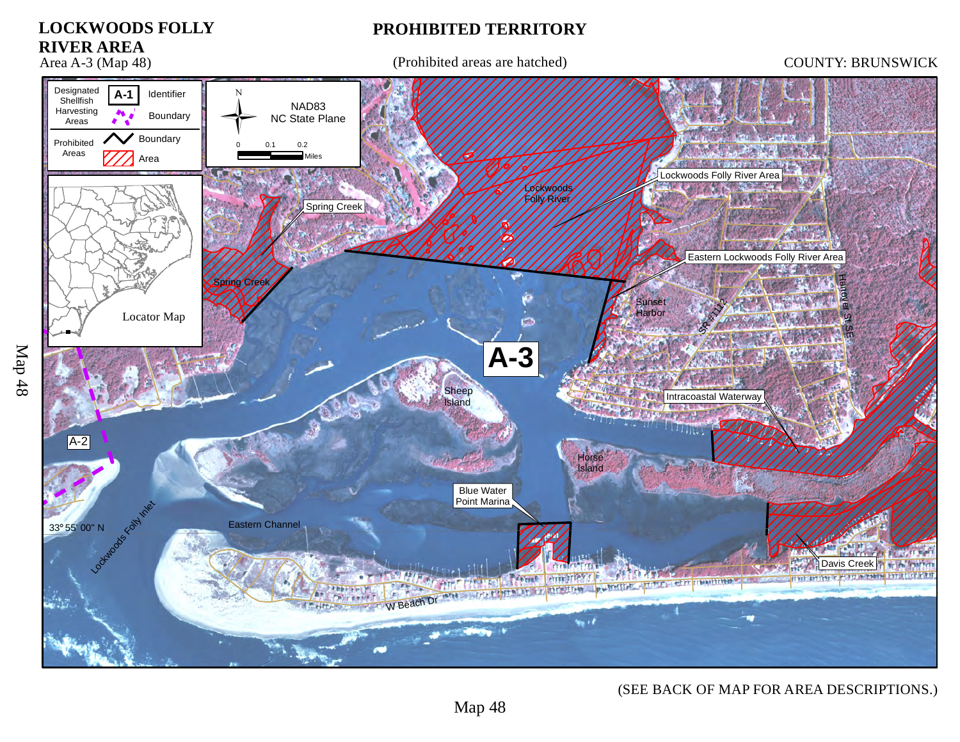

## (SEE BACK OF MAP FOR AREA DESCRIPTIONS.)